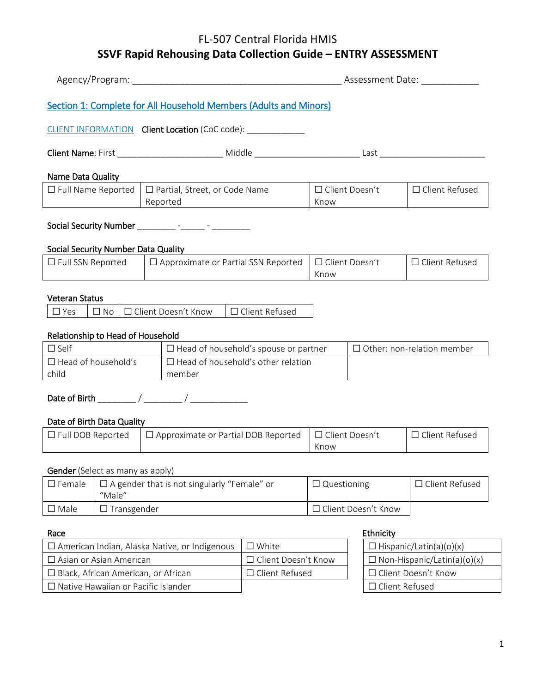|                                                                                                           |                    |                    |                                                                   | Assessment Date:         |                          |                                    |                                   |
|-----------------------------------------------------------------------------------------------------------|--------------------|--------------------|-------------------------------------------------------------------|--------------------------|--------------------------|------------------------------------|-----------------------------------|
|                                                                                                           |                    |                    | Section 1: Complete for All Household Members (Adults and Minors) |                          |                          |                                    |                                   |
|                                                                                                           |                    |                    | CLIENT INFORMATION Client Location (CoC code): _____________      |                          |                          |                                    |                                   |
|                                                                                                           |                    |                    |                                                                   |                          |                          |                                    |                                   |
| Name Data Quality                                                                                         |                    |                    |                                                                   |                          |                          |                                    |                                   |
| $\Box$ Full Name Reported                                                                                 |                    |                    | $\Box$ Partial, Street, or Code Name<br>Reported                  |                          | □ Client Doesn't<br>Know |                                    | □ Client Refused                  |
|                                                                                                           |                    |                    |                                                                   |                          |                          |                                    |                                   |
| Social Security Number Data Quality                                                                       |                    |                    |                                                                   |                          |                          |                                    |                                   |
| $\Box$ Full SSN Reported                                                                                  |                    |                    | $\Box$ Approximate or Partial SSN Reported                        |                          | □ Client Doesn't<br>Know |                                    | □ Client Refused                  |
|                                                                                                           |                    |                    |                                                                   |                          |                          |                                    |                                   |
| <b>Veteran Status</b><br>$\square$ Yes                                                                    | $\Box$ No          |                    | □ Client Doesn't Know                                             | □ Client Refused         |                          |                                    |                                   |
|                                                                                                           |                    |                    |                                                                   |                          |                          |                                    |                                   |
| Relationship to Head of Household                                                                         |                    |                    |                                                                   |                          |                          |                                    |                                   |
| $\Box$ Self                                                                                               |                    |                    | $\Box$ Head of household's spouse or partner                      |                          |                          |                                    | $\Box$ Other: non-relation member |
| $\Box$ Head of household's<br>child                                                                       |                    |                    | $\Box$ Head of household's other relation<br>member               |                          |                          |                                    |                                   |
|                                                                                                           |                    |                    |                                                                   |                          |                          |                                    |                                   |
| Date of Birth Data Quality                                                                                |                    |                    |                                                                   |                          |                          |                                    |                                   |
| $\Box$ Full DOB Reported<br>$\Box$ Approximate or Partial DOB Reported                                    |                    |                    |                                                                   | □ Client Doesn't<br>Know |                          | □ Client Refused                   |                                   |
| <b>Gender</b> (Select as many as apply)                                                                   |                    |                    |                                                                   |                          |                          |                                    |                                   |
| $\Box$ A gender that is not singularly "Female" or<br>$\square$ Female<br>"Male"                          |                    | $\Box$ Questioning |                                                                   | □ Client Refused         |                          |                                    |                                   |
| $\square$ Male                                                                                            | $\Box$ Transgender |                    |                                                                   |                          |                          | □ Client Doesn't Know              |                                   |
| Race                                                                                                      |                    |                    |                                                                   |                          |                          | Ethnicity                          |                                   |
| $\square$ White<br>$\Box$ American Indian, Alaska Native, or Indigenous<br>$\Box$ Hispanic/Latin(a)(o)(x) |                    |                    |                                                                   |                          |                          |                                    |                                   |
| □ Asian or Asian American<br>ப                                                                            |                    |                    | Client Doesn't Know                                               |                          |                          | $\Box$ Non-Hispanic/Latin(a)(o)(x) |                                   |

☐ Black, African American, or African ☐ Client Refused ☐ Client Doesn't Know

☐ Native Hawaiian or Pacific Islander ☐ Client Refused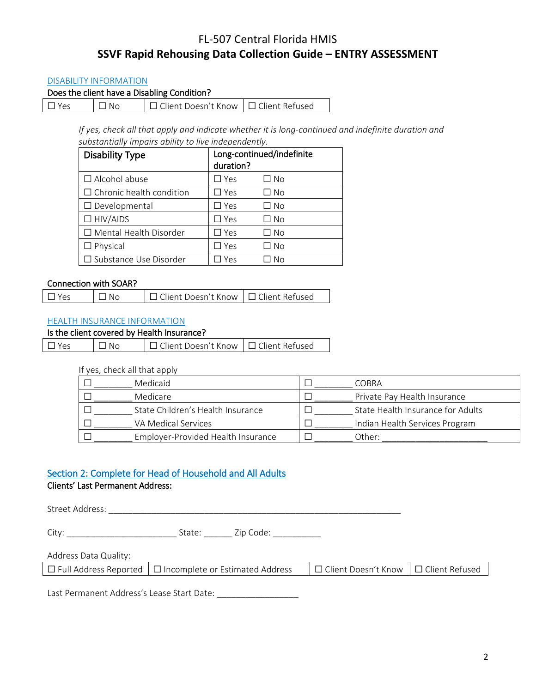#### DISABILITY INFORMATION

| Does the client have a Disabling Condition? |  |
|---------------------------------------------|--|
|---------------------------------------------|--|

☐ Yes ☐ No ☐ Client Doesn't Know ☐ Client Refused

*If yes, check all that apply and indicate whether it is long-continued and indefinite duration and substantially impairs ability to live independently.*

| <b>Disability Type</b>          | Long-continued/indefinite<br>duration? |      |  |
|---------------------------------|----------------------------------------|------|--|
| $\Box$ Alcohol abuse            | $\square$ Yes                          | □ No |  |
| $\Box$ Chronic health condition | $\square$ Yes                          | □ No |  |
| $\Box$ Developmental            | $\square$ Yes                          | □ No |  |
| $\Box$ HIV/AIDS                 | $\square$ Yes                          | □ No |  |
| $\Box$ Mental Health Disorder   | $\square$ Yes                          | □ No |  |
| $\Box$ Physical                 | $\square$ Yes                          | ∩ No |  |
| $\Box$ Substance Use Disorder   | Yes                                    | No   |  |

#### Connection with SOAR?

| $\Box$ Yes | $\Box$ No | □ Client Doesn't Know   □ Client Refused |  |
|------------|-----------|------------------------------------------|--|
|------------|-----------|------------------------------------------|--|

#### HEALTH INSURANCE INFORMATION

### Is the client covered by Health Insurance?

| $\Box$ Yes | $\Box$ No | □ Client Doesn't Know   □ Client Refused |  |
|------------|-----------|------------------------------------------|--|
|------------|-----------|------------------------------------------|--|

#### If yes, check all that apply

| Medicaid                           | COBRA                             |
|------------------------------------|-----------------------------------|
| Medicare                           | Private Pay Health Insurance      |
| State Children's Health Insurance  | State Health Insurance for Adults |
| VA Medical Services                | Indian Health Services Program    |
| Employer-Provided Health Insurance | Other:                            |

## Section 2: Complete for Head of Household and All Adults

#### Clients' Last Permanent Address:

Street Address: \_\_\_\_\_\_\_\_\_\_\_\_\_\_\_\_\_\_\_\_\_\_\_\_\_\_\_\_\_\_\_\_\_\_\_\_\_\_\_\_\_\_\_\_\_\_\_\_\_\_\_\_\_\_\_\_\_\_\_\_\_

City: \_\_\_\_\_\_\_\_\_\_\_\_\_\_\_\_\_\_\_\_\_\_\_ State: \_\_\_\_\_\_ Zip Code: \_\_\_\_\_\_\_\_\_\_

#### Address Data Quality:

|  | $\Box$ Full Address Reported $\Box$ Incomplete or Estimated Address | □ Client Doesn't Know   □ Client Refused |  |
|--|---------------------------------------------------------------------|------------------------------------------|--|
|--|---------------------------------------------------------------------|------------------------------------------|--|

Last Permanent Address's Lease Start Date: \_\_\_\_\_\_\_\_\_\_\_\_\_\_\_\_\_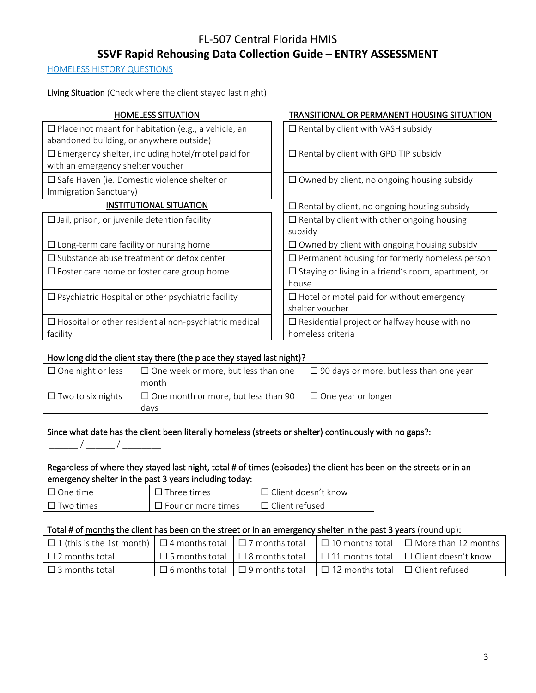HOMELESS HISTORY QUESTIONS

Living Situation (Check where the client stayed last night):

| <b>HOMELESS SITUATION</b>                                                                              | TRANSITIONAL OR PERMANENT HOUSING SITUATION                              |
|--------------------------------------------------------------------------------------------------------|--------------------------------------------------------------------------|
| $\Box$ Place not meant for habitation (e.g., a vehicle, an<br>abandoned building, or anywhere outside) | $\Box$ Rental by client with VASH subsidy                                |
| $\Box$ Emergency shelter, including hotel/motel paid for<br>with an emergency shelter voucher          | $\Box$ Rental by client with GPD TIP subsidy                             |
| $\Box$ Safe Haven (ie. Domestic violence shelter or<br>Immigration Sanctuary)                          | $\Box$ Owned by client, no ongoing housing subsidy                       |
| <b>INSTITUTIONAL SITUATION</b>                                                                         | $\Box$ Rental by client, no ongoing housing subsidy                      |
| $\Box$ Jail, prison, or juvenile detention facility                                                    | $\Box$ Rental by client with other ongoing housing<br>subsidy            |
| $\Box$ Long-term care facility or nursing home                                                         | $\Box$ Owned by client with ongoing housing subsidy                      |
| $\Box$ Substance abuse treatment or detox center                                                       | $\Box$ Permanent housing for formerly homeless person                    |
| $\Box$ Foster care home or foster care group home                                                      | $\square$ Staying or living in a friend's room, apartment, or<br>house   |
| $\Box$ Psychiatric Hospital or other psychiatric facility                                              | $\Box$ Hotel or motel paid for without emergency<br>shelter voucher      |
| $\Box$ Hospital or other residential non-psychiatric medical<br>facility                               | $\Box$ Residential project or halfway house with no<br>homeless criteria |
|                                                                                                        |                                                                          |

# How long did the client stay there (the place they stayed last night)?

| $\Box$ One night or less | $\Box$ One week or more, but less than one         | $\Box$ 90 days or more, but less than one year |
|--------------------------|----------------------------------------------------|------------------------------------------------|
|                          | month                                              |                                                |
| $\Box$ Two to six nights | $\Box$ One month or more, but less than 90<br>davs | $\Box$ One year or longer                      |

## Since what date has the client been literally homeless (streets or shelter) continuously with no gaps?:

\_\_\_\_\_\_ / \_\_\_\_\_\_ / \_\_\_\_\_\_\_\_

# Regardless of where they stayed last night, total # of times (episodes) the client has been on the streets or in an emergency shelter in the past 3 years including today:

| $\Box$ One time  | $\Box$ Three times        | $\Box$ Client doesn't know |
|------------------|---------------------------|----------------------------|
| $\Box$ Two times | $\Box$ Four or more times | $\Box$ Client refused      |

## Total # of months the client has been on the street or in an emergency shelter in the past 3 years (round up):

| $\Box$ 1 (this is the 1st month)   $\Box$ 4 months total   $\Box$ 7 months total |                                             |                                              | $\Box$ 10 months total $\Box$ More than 12 months |
|----------------------------------------------------------------------------------|---------------------------------------------|----------------------------------------------|---------------------------------------------------|
| $\Box$ 2 months total                                                            | $\Box$ 5 months total $\Box$ 8 months total |                                              | $\Box$ 11 months total $\Box$ Client doesn't know |
| $\Box$ 3 months total                                                            | $\Box$ 6 months total $\Box$ 9 months total | $\Box$ 12 months total $\Box$ Client refused |                                                   |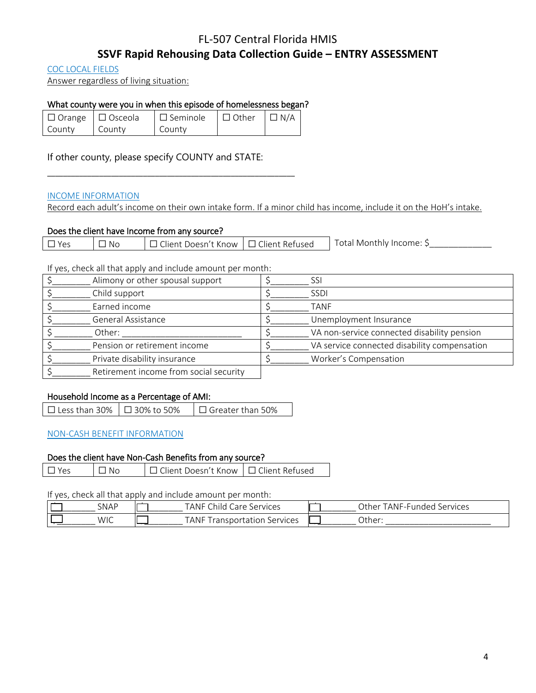# FL-507 Central Florida HMIS

# **SSVF Rapid Rehousing Data Collection Guide – ENTRY ASSESSMENT**

COC LOCAL FIELDS

Answer regardless of living situation:

### What county were you in when this episode of homelessness began?

|        | $\Box$ Orange $\Box$ Osceola | $\Box$ Seminole $\Box$ Other $\Box$ N/A |  |
|--------|------------------------------|-----------------------------------------|--|
| County | County                       | County                                  |  |

\_\_\_\_\_\_\_\_\_\_\_\_\_\_\_\_\_\_\_\_\_\_\_\_\_\_\_\_\_\_\_\_\_\_\_\_\_\_\_\_\_\_\_\_\_\_\_\_\_\_\_\_\_\_\_\_\_\_\_\_\_\_

If other county, please specify COUNTY and STATE:

#### INCOME INFORMATION

Record each adult's income on their own intake form. If a minor child has income, include it on the HoH's intake.

### Does the client have Income from any source?

|  | Yes | No | ] Client Doesn't Know ∣□ Client Refused_ |  | Total Monthly Income: S |
|--|-----|----|------------------------------------------|--|-------------------------|
|--|-----|----|------------------------------------------|--|-------------------------|

If yes, check all that apply and include amount per month:

| Alimony or other spousal support       | SSI                                          |
|----------------------------------------|----------------------------------------------|
| Child support                          | <b>SSDI</b>                                  |
| Earned income                          | TANF                                         |
| General Assistance                     | Unemployment Insurance                       |
| Other:                                 | VA non-service connected disability pension  |
| Pension or retirement income           | VA service connected disability compensation |
| Private disability insurance           | Worker's Compensation                        |
| Retirement income from social security |                                              |

#### Household Income as a Percentage of AMI:

| □ Less than 30% $\Box$ 30% to 50% |  | $\Box$ Greater than 50% |
|-----------------------------------|--|-------------------------|
|-----------------------------------|--|-------------------------|

#### NON-CASH BENEFIT INFORMATION

#### Does the client have Non-Cash Benefits from any source?

☐ Yes ☐ No ☐ Client Doesn't Know ☐ Client Refused

If yes, check all that apply and include amount per month:

| SNAP       | $\sim$<br>TANF<br>Services<br>`hild<br>are          | Other<br>Services<br>ndec<br>ANE<br>EE U P<br>ч |
|------------|-----------------------------------------------------|-------------------------------------------------|
| <b>WIC</b> | TANF<br>Services<br>fation<br>ransport <sup>.</sup> | Other:                                          |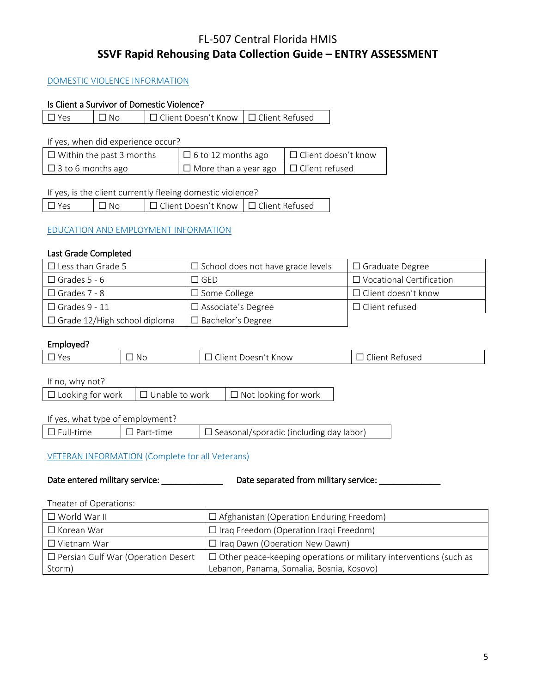### DOMESTIC VIOLENCE INFORMATION

#### Is Client a Survivor of Domestic Violence?

☐ Yes ☐ No ☐ Client Doesn't Know ☐ Client Refused

If yes, when did experience occur?

| $\Box$ Within the past 3 months | $\Box$ 6 to 12 months ago                         | $\Box$ Client doesn't know |
|---------------------------------|---------------------------------------------------|----------------------------|
| $\Box$ 3 to 6 months ago        | $\Box$ More than a year ago $\Box$ Client refused |                            |

#### If yes, is the client currently fleeing domestic violence?

| $\Box$ Yes | $\Box$ No | │□ Client Doesn't Know │□ Client Refused |  |
|------------|-----------|------------------------------------------|--|
|------------|-----------|------------------------------------------|--|

#### EDUCATION AND EMPLOYMENT INFORMATION

#### Last Grade Completed

| $\Box$ Less than Grade 5            | $\Box$ School does not have grade levels | $\Box$ Graduate Degree          |
|-------------------------------------|------------------------------------------|---------------------------------|
| $\Box$ Grades 5 - 6                 | $\Box$ GED                               | $\Box$ Vocational Certification |
| $\Box$ Grades 7 - 8                 | $\Box$ Some College                      | $\Box$ Client doesn't know      |
| $\Box$ Grades 9 - 11                | $\Box$ Associate's Degree                | $\Box$ Client refused           |
| $\Box$ Grade 12/High school diploma | $\Box$ Bachelor's Degree                 |                                 |

#### Employed?

| N G | $\mathbf{M}$ | ั |
|-----|--------------|---|
|     |              |   |

If no, why not?

| $\Box$ Looking for work $\Box$ Unable to work |  | $\Box$ Not looking for work |
|-----------------------------------------------|--|-----------------------------|
|-----------------------------------------------|--|-----------------------------|

### If yes, what type of employment?

☐ Full-time ☐ Part-time ☐ Seasonal/sporadic (including day labor)

#### VETERAN INFORMATION (Complete for all Veterans)

| Date entered military service: | Date separated from military service: |
|--------------------------------|---------------------------------------|
|                                |                                       |

Theater of Operations:

| $\Box$ World War II                       | $\Box$ Afghanistan (Operation Enduring Freedom)                          |
|-------------------------------------------|--------------------------------------------------------------------------|
| $\Box$ Korean War                         | $\Box$ Iraq Freedom (Operation Iraqi Freedom)                            |
| $\Box$ Vietnam War                        | $\Box$ Iraq Dawn (Operation New Dawn)                                    |
| $\Box$ Persian Gulf War (Operation Desert | $\Box$ Other peace-keeping operations or military interventions (such as |
| Storm)                                    | Lebanon, Panama, Somalia, Bosnia, Kosovo)                                |